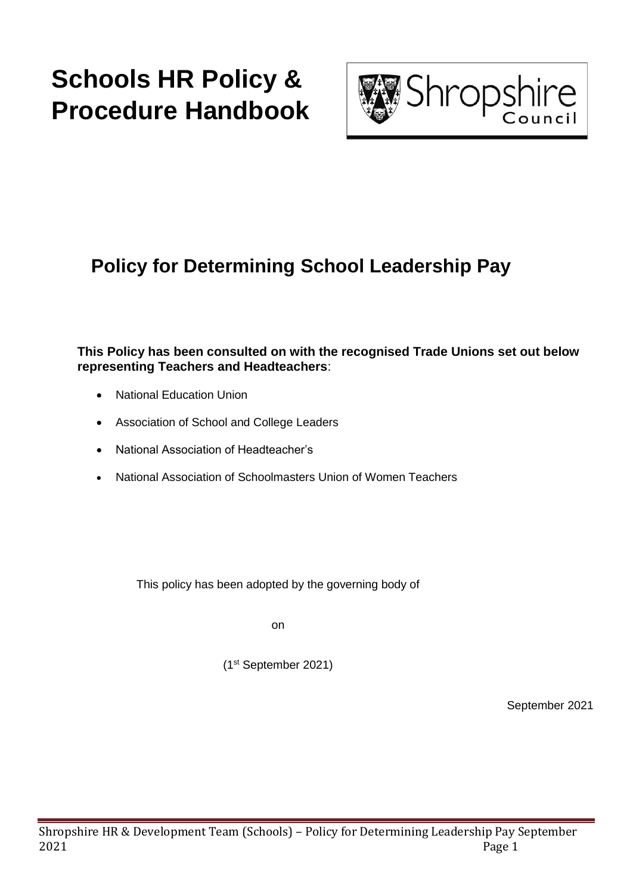# **Schools HR Policy & Procedure Handbook**



## **Policy for Determining School Leadership Pay**

**This Policy has been consulted on with the recognised Trade Unions set out below representing Teachers and Headteachers**:

- National Education Union
- Association of School and College Leaders
- National Association of Headteacher's
- National Association of Schoolmasters Union of Women Teachers

This policy has been adopted by the governing body of

on

(1 st September 2021)

September 2021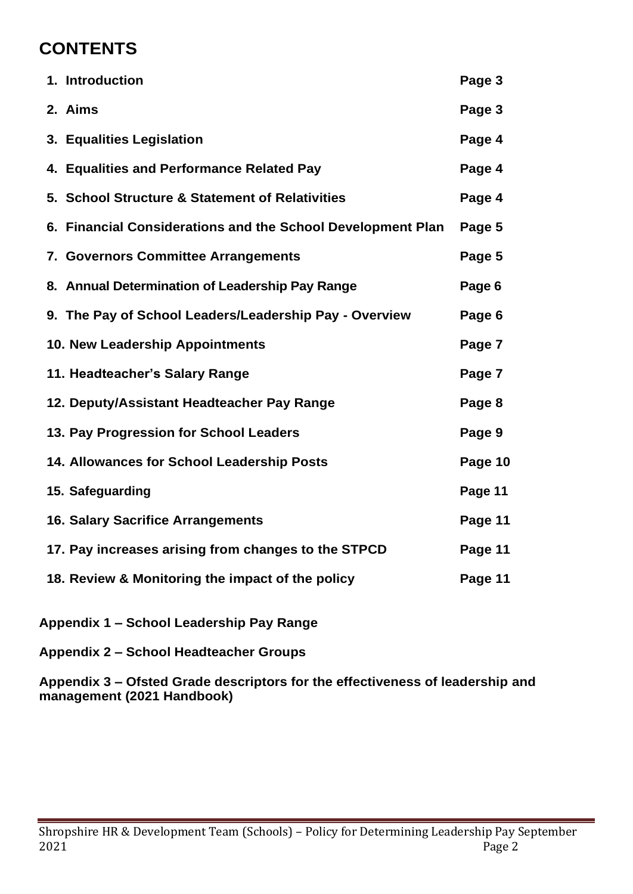## **CONTENTS**

| 1. Introduction                                             | Page 3  |
|-------------------------------------------------------------|---------|
| 2. Aims                                                     | Page 3  |
| 3. Equalities Legislation                                   | Page 4  |
| 4. Equalities and Performance Related Pay                   | Page 4  |
| 5. School Structure & Statement of Relativities             | Page 4  |
| 6. Financial Considerations and the School Development Plan | Page 5  |
| 7. Governors Committee Arrangements                         | Page 5  |
| 8. Annual Determination of Leadership Pay Range             | Page 6  |
| 9. The Pay of School Leaders/Leadership Pay - Overview      | Page 6  |
| 10. New Leadership Appointments                             | Page 7  |
| 11. Headteacher's Salary Range                              | Page 7  |
| 12. Deputy/Assistant Headteacher Pay Range                  | Page 8  |
| 13. Pay Progression for School Leaders                      | Page 9  |
| 14. Allowances for School Leadership Posts                  | Page 10 |
| 15. Safeguarding                                            | Page 11 |
| <b>16. Salary Sacrifice Arrangements</b>                    | Page 11 |
| 17. Pay increases arising from changes to the STPCD         | Page 11 |
| 18. Review & Monitoring the impact of the policy            | Page 11 |

- **Appendix 1 – School Leadership Pay Range**
- **Appendix 2 – School Headteacher Groups**

**Appendix 3 – Ofsted Grade descriptors for the effectiveness of leadership and management (2021 Handbook)**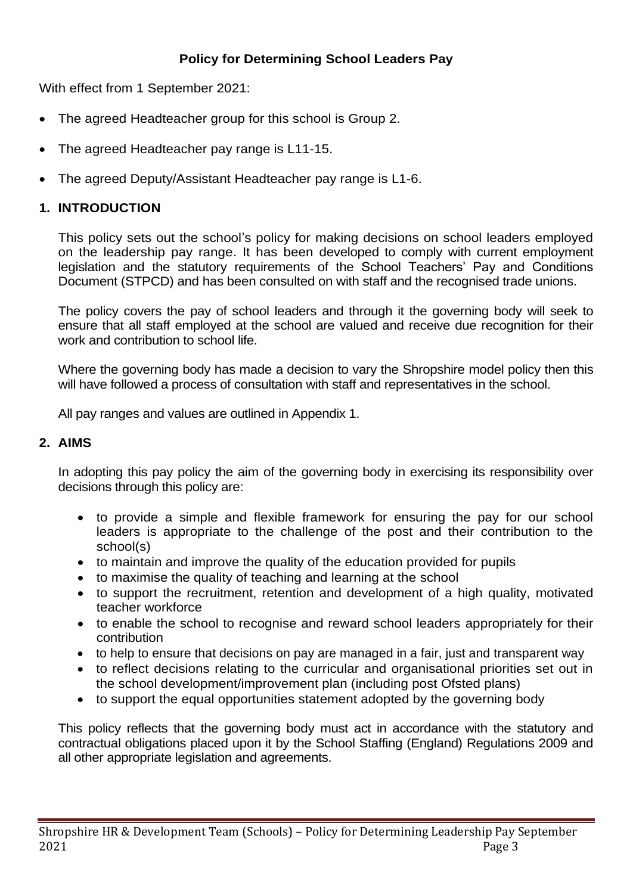## **Policy for Determining School Leaders Pay**

With effect from 1 September 2021:

- The agreed Headteacher group for this school is Group 2.
- The agreed Headteacher pay range is L11-15.
- The agreed Deputy/Assistant Headteacher pay range is L1-6.

## **1. INTRODUCTION**

This policy sets out the school's policy for making decisions on school leaders employed on the leadership pay range. It has been developed to comply with current employment legislation and the statutory requirements of the School Teachers' Pay and Conditions Document (STPCD) and has been consulted on with staff and the recognised trade unions.

The policy covers the pay of school leaders and through it the governing body will seek to ensure that all staff employed at the school are valued and receive due recognition for their work and contribution to school life.

Where the governing body has made a decision to vary the Shropshire model policy then this will have followed a process of consultation with staff and representatives in the school.

All pay ranges and values are outlined in Appendix 1.

## **2. AIMS**

In adopting this pay policy the aim of the governing body in exercising its responsibility over decisions through this policy are:

- to provide a simple and flexible framework for ensuring the pay for our school leaders is appropriate to the challenge of the post and their contribution to the school(s)
- to maintain and improve the quality of the education provided for pupils
- to maximise the quality of teaching and learning at the school
- to support the recruitment, retention and development of a high quality, motivated teacher workforce
- to enable the school to recognise and reward school leaders appropriately for their contribution
- to help to ensure that decisions on pay are managed in a fair, just and transparent way
- to reflect decisions relating to the curricular and organisational priorities set out in the school development/improvement plan (including post Ofsted plans)
- to support the equal opportunities statement adopted by the governing body

This policy reflects that the governing body must act in accordance with the statutory and contractual obligations placed upon it by the School Staffing (England) Regulations 2009 and all other appropriate legislation and agreements.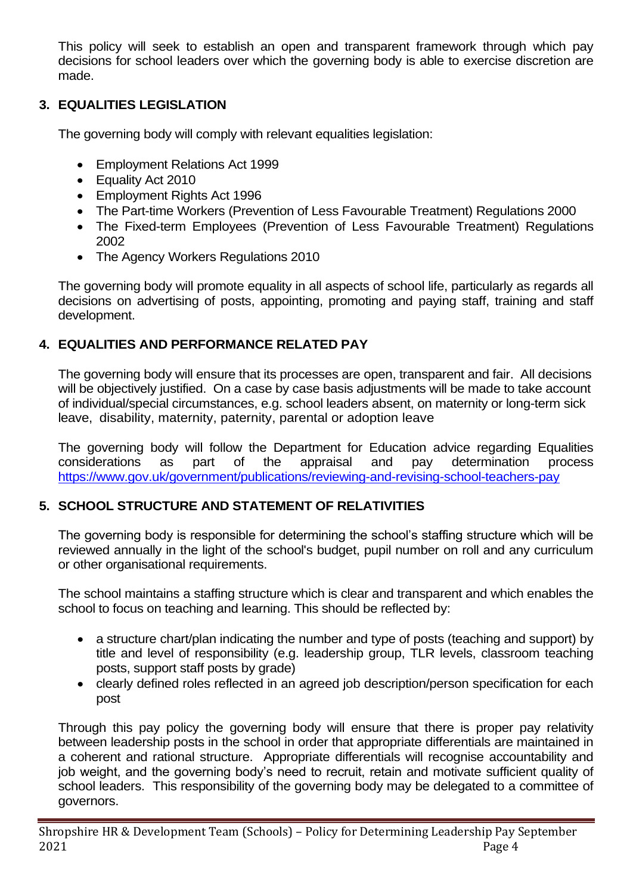This policy will seek to establish an open and transparent framework through which pay decisions for school leaders over which the governing body is able to exercise discretion are made.

## **3. EQUALITIES LEGISLATION**

The governing body will comply with relevant equalities legislation:

- Employment Relations Act 1999
- Equality Act 2010
- Employment Rights Act 1996
- The Part-time Workers (Prevention of Less Favourable Treatment) Regulations 2000
- The Fixed-term Employees (Prevention of Less Favourable Treatment) Regulations 2002
- The Agency Workers Regulations 2010

The governing body will promote equality in all aspects of school life, particularly as regards all decisions on advertising of posts, appointing, promoting and paying staff, training and staff development.

## **4. EQUALITIES AND PERFORMANCE RELATED PAY**

The governing body will ensure that its processes are open, transparent and fair. All decisions will be objectively justified. On a case by case basis adjustments will be made to take account of individual/special circumstances, e.g. school leaders absent, on maternity or long-term sick leave, disability, maternity, paternity, parental or adoption leave

The governing body will follow the Department for Education advice regarding Equalities considerations as part of the appraisal and pay determination process <https://www.gov.uk/government/publications/reviewing-and-revising-school-teachers-pay>

## **5. SCHOOL STRUCTURE AND STATEMENT OF RELATIVITIES**

The governing body is responsible for determining the school's staffing structure which will be reviewed annually in the light of the school's budget, pupil number on roll and any curriculum or other organisational requirements.

The school maintains a staffing structure which is clear and transparent and which enables the school to focus on teaching and learning. This should be reflected by:

- a structure chart/plan indicating the number and type of posts (teaching and support) by title and level of responsibility (e.g. leadership group, TLR levels, classroom teaching posts, support staff posts by grade)
- clearly defined roles reflected in an agreed job description/person specification for each post

Through this pay policy the governing body will ensure that there is proper pay relativity between leadership posts in the school in order that appropriate differentials are maintained in a coherent and rational structure. Appropriate differentials will recognise accountability and job weight, and the governing body's need to recruit, retain and motivate sufficient quality of school leaders. This responsibility of the governing body may be delegated to a committee of governors.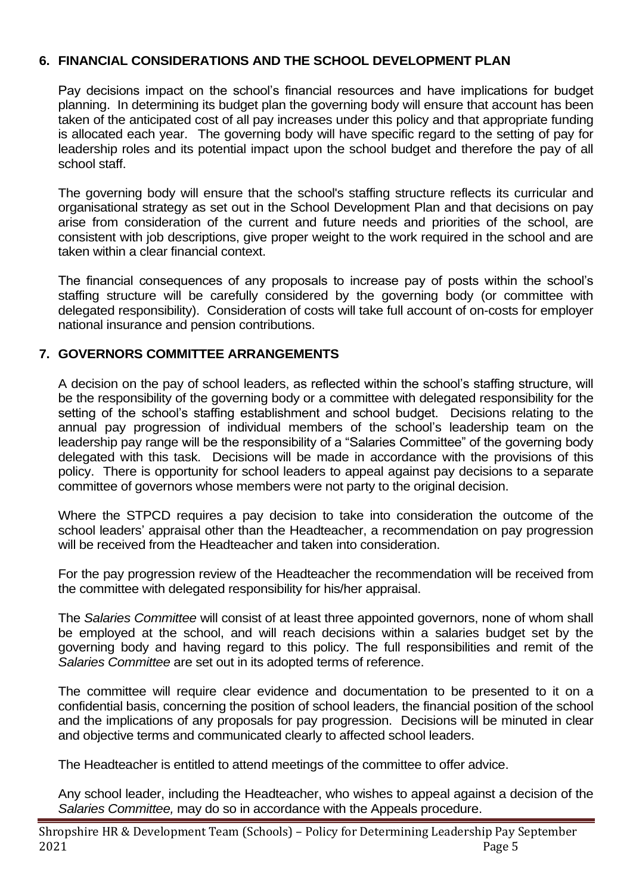## **6. FINANCIAL CONSIDERATIONS AND THE SCHOOL DEVELOPMENT PLAN**

Pay decisions impact on the school's financial resources and have implications for budget planning. In determining its budget plan the governing body will ensure that account has been taken of the anticipated cost of all pay increases under this policy and that appropriate funding is allocated each year. The governing body will have specific regard to the setting of pay for leadership roles and its potential impact upon the school budget and therefore the pay of all school staff.

The governing body will ensure that the school's staffing structure reflects its curricular and organisational strategy as set out in the School Development Plan and that decisions on pay arise from consideration of the current and future needs and priorities of the school, are consistent with job descriptions, give proper weight to the work required in the school and are taken within a clear financial context.

The financial consequences of any proposals to increase pay of posts within the school's staffing structure will be carefully considered by the governing body (or committee with delegated responsibility). Consideration of costs will take full account of on-costs for employer national insurance and pension contributions.

## **7. GOVERNORS COMMITTEE ARRANGEMENTS**

A decision on the pay of school leaders, as reflected within the school's staffing structure, will be the responsibility of the governing body or a committee with delegated responsibility for the setting of the school's staffing establishment and school budget. Decisions relating to the annual pay progression of individual members of the school's leadership team on the leadership pay range will be the responsibility of a "Salaries Committee" of the governing body delegated with this task. Decisions will be made in accordance with the provisions of this policy. There is opportunity for school leaders to appeal against pay decisions to a separate committee of governors whose members were not party to the original decision.

Where the STPCD requires a pay decision to take into consideration the outcome of the school leaders' appraisal other than the Headteacher, a recommendation on pay progression will be received from the Headteacher and taken into consideration.

For the pay progression review of the Headteacher the recommendation will be received from the committee with delegated responsibility for his/her appraisal.

The *Salaries Committee* will consist of at least three appointed governors, none of whom shall be employed at the school, and will reach decisions within a salaries budget set by the governing body and having regard to this policy. The full responsibilities and remit of the *Salaries Committee* are set out in its adopted terms of reference.

The committee will require clear evidence and documentation to be presented to it on a confidential basis, concerning the position of school leaders, the financial position of the school and the implications of any proposals for pay progression. Decisions will be minuted in clear and objective terms and communicated clearly to affected school leaders.

The Headteacher is entitled to attend meetings of the committee to offer advice.

Any school leader, including the Headteacher, who wishes to appeal against a decision of the *Salaries Committee,* may do so in accordance with the Appeals procedure.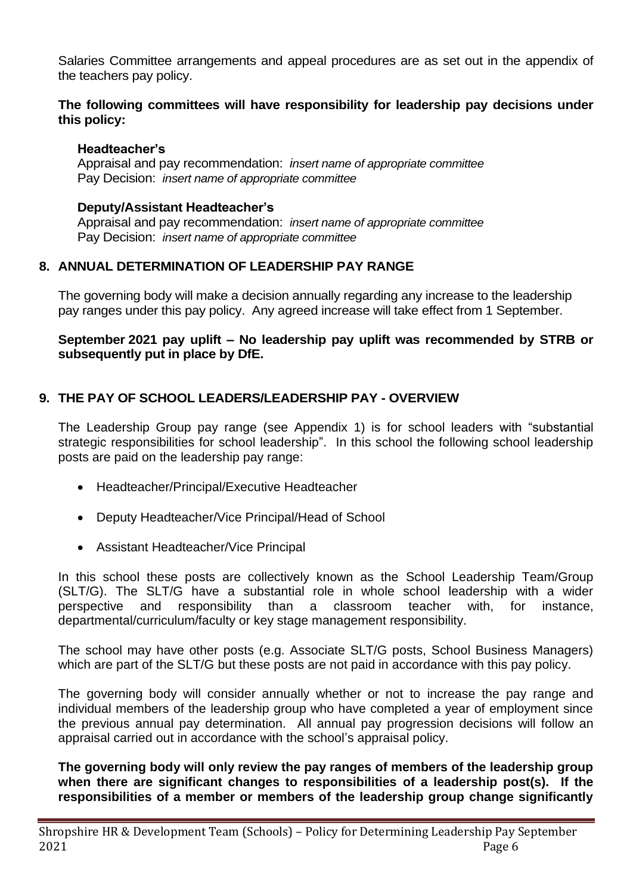Salaries Committee arrangements and appeal procedures are as set out in the appendix of the teachers pay policy.

#### **The following committees will have responsibility for leadership pay decisions under this policy:**

#### **Headteacher's**

Appraisal and pay recommendation: *insert name of appropriate committee* Pay Decision: *insert name of appropriate committee*

#### **Deputy/Assistant Headteacher's**

Appraisal and pay recommendation: *insert name of appropriate committee* Pay Decision: *insert name of appropriate committee*

## **8. ANNUAL DETERMINATION OF LEADERSHIP PAY RANGE**

The governing body will make a decision annually regarding any increase to the leadership pay ranges under this pay policy. Any agreed increase will take effect from 1 September.

#### **September 2021 pay uplift – No leadership pay uplift was recommended by STRB or subsequently put in place by DfE.**

## **9. THE PAY OF SCHOOL LEADERS/LEADERSHIP PAY - OVERVIEW**

The Leadership Group pay range (see Appendix 1) is for school leaders with "substantial strategic responsibilities for school leadership". In this school the following school leadership posts are paid on the leadership pay range:

- Headteacher/Principal/Executive Headteacher
- Deputy Headteacher/Vice Principal/Head of School
- Assistant Headteacher/Vice Principal

In this school these posts are collectively known as the School Leadership Team/Group (SLT/G). The SLT/G have a substantial role in whole school leadership with a wider perspective and responsibility than a classroom teacher with, for instance, departmental/curriculum/faculty or key stage management responsibility.

The school may have other posts (e.g. Associate SLT/G posts, School Business Managers) which are part of the SLT/G but these posts are not paid in accordance with this pay policy.

The governing body will consider annually whether or not to increase the pay range and individual members of the leadership group who have completed a year of employment since the previous annual pay determination. All annual pay progression decisions will follow an appraisal carried out in accordance with the school's appraisal policy.

**The governing body will only review the pay ranges of members of the leadership group when there are significant changes to responsibilities of a leadership post(s). If the responsibilities of a member or members of the leadership group change significantly**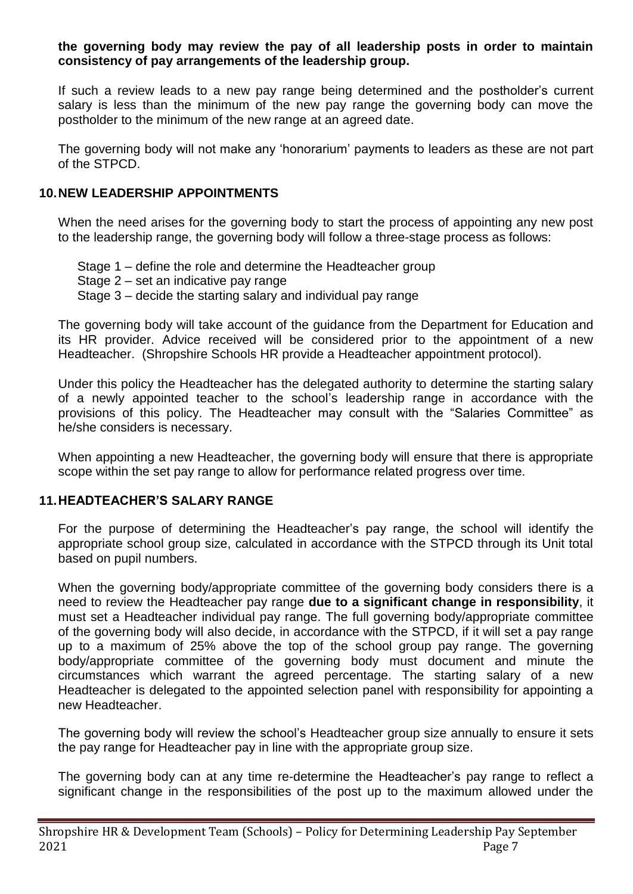#### **the governing body may review the pay of all leadership posts in order to maintain consistency of pay arrangements of the leadership group.**

If such a review leads to a new pay range being determined and the postholder's current salary is less than the minimum of the new pay range the governing body can move the postholder to the minimum of the new range at an agreed date.

The governing body will not make any 'honorarium' payments to leaders as these are not part of the STPCD.

## **10.NEW LEADERSHIP APPOINTMENTS**

When the need arises for the governing body to start the process of appointing any new post to the leadership range, the governing body will follow a three-stage process as follows:

- Stage 1 define the role and determine the Headteacher group
- Stage 2 set an indicative pay range
- Stage 3 decide the starting salary and individual pay range

The governing body will take account of the guidance from the Department for Education and its HR provider. Advice received will be considered prior to the appointment of a new Headteacher. (Shropshire Schools HR provide a Headteacher appointment protocol).

Under this policy the Headteacher has the delegated authority to determine the starting salary of a newly appointed teacher to the school's leadership range in accordance with the provisions of this policy. The Headteacher may consult with the "Salaries Committee" as he/she considers is necessary.

When appointing a new Headteacher, the governing body will ensure that there is appropriate scope within the set pay range to allow for performance related progress over time.

## **11.HEADTEACHER'S SALARY RANGE**

For the purpose of determining the Headteacher's pay range, the school will identify the appropriate school group size, calculated in accordance with the STPCD through its Unit total based on pupil numbers.

When the governing body/appropriate committee of the governing body considers there is a need to review the Headteacher pay range **due to a significant change in responsibility**, it must set a Headteacher individual pay range. The full governing body/appropriate committee of the governing body will also decide, in accordance with the STPCD, if it will set a pay range up to a maximum of 25% above the top of the school group pay range. The governing body/appropriate committee of the governing body must document and minute the circumstances which warrant the agreed percentage. The starting salary of a new Headteacher is delegated to the appointed selection panel with responsibility for appointing a new Headteacher.

The governing body will review the school's Headteacher group size annually to ensure it sets the pay range for Headteacher pay in line with the appropriate group size.

The governing body can at any time re-determine the Headteacher's pay range to reflect a significant change in the responsibilities of the post up to the maximum allowed under the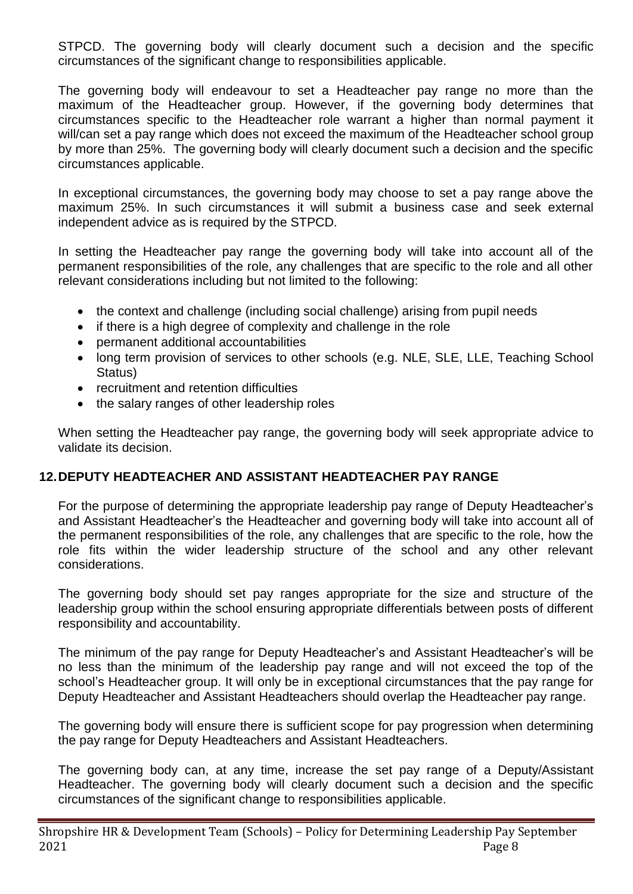STPCD. The governing body will clearly document such a decision and the specific circumstances of the significant change to responsibilities applicable.

The governing body will endeavour to set a Headteacher pay range no more than the maximum of the Headteacher group. However, if the governing body determines that circumstances specific to the Headteacher role warrant a higher than normal payment it will/can set a pay range which does not exceed the maximum of the Headteacher school group by more than 25%. The governing body will clearly document such a decision and the specific circumstances applicable.

In exceptional circumstances, the governing body may choose to set a pay range above the maximum 25%. In such circumstances it will submit a business case and seek external independent advice as is required by the STPCD.

In setting the Headteacher pay range the governing body will take into account all of the permanent responsibilities of the role, any challenges that are specific to the role and all other relevant considerations including but not limited to the following:

- the context and challenge (including social challenge) arising from pupil needs
- if there is a high degree of complexity and challenge in the role
- permanent additional accountabilities
- long term provision of services to other schools (e.g. NLE, SLE, LLE, Teaching School Status)
- recruitment and retention difficulties
- the salary ranges of other leadership roles

When setting the Headteacher pay range, the governing body will seek appropriate advice to validate its decision.

## **12.DEPUTY HEADTEACHER AND ASSISTANT HEADTEACHER PAY RANGE**

For the purpose of determining the appropriate leadership pay range of Deputy Headteacher's and Assistant Headteacher's the Headteacher and governing body will take into account all of the permanent responsibilities of the role, any challenges that are specific to the role, how the role fits within the wider leadership structure of the school and any other relevant considerations.

The governing body should set pay ranges appropriate for the size and structure of the leadership group within the school ensuring appropriate differentials between posts of different responsibility and accountability.

The minimum of the pay range for Deputy Headteacher's and Assistant Headteacher's will be no less than the minimum of the leadership pay range and will not exceed the top of the school's Headteacher group. It will only be in exceptional circumstances that the pay range for Deputy Headteacher and Assistant Headteachers should overlap the Headteacher pay range.

The governing body will ensure there is sufficient scope for pay progression when determining the pay range for Deputy Headteachers and Assistant Headteachers.

The governing body can, at any time, increase the set pay range of a Deputy/Assistant Headteacher. The governing body will clearly document such a decision and the specific circumstances of the significant change to responsibilities applicable.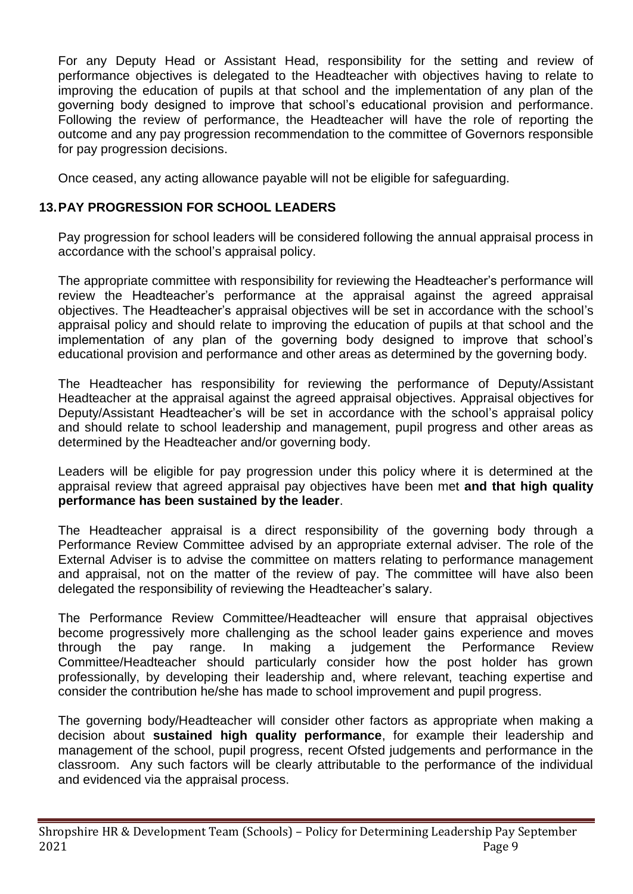For any Deputy Head or Assistant Head, responsibility for the setting and review of performance objectives is delegated to the Headteacher with objectives having to relate to improving the education of pupils at that school and the implementation of any plan of the governing body designed to improve that school's educational provision and performance. Following the review of performance, the Headteacher will have the role of reporting the outcome and any pay progression recommendation to the committee of Governors responsible for pay progression decisions.

Once ceased, any acting allowance payable will not be eligible for safeguarding.

## **13.PAY PROGRESSION FOR SCHOOL LEADERS**

Pay progression for school leaders will be considered following the annual appraisal process in accordance with the school's appraisal policy.

The appropriate committee with responsibility for reviewing the Headteacher's performance will review the Headteacher's performance at the appraisal against the agreed appraisal objectives. The Headteacher's appraisal objectives will be set in accordance with the school's appraisal policy and should relate to improving the education of pupils at that school and the implementation of any plan of the governing body designed to improve that school's educational provision and performance and other areas as determined by the governing body.

The Headteacher has responsibility for reviewing the performance of Deputy/Assistant Headteacher at the appraisal against the agreed appraisal objectives. Appraisal objectives for Deputy/Assistant Headteacher's will be set in accordance with the school's appraisal policy and should relate to school leadership and management, pupil progress and other areas as determined by the Headteacher and/or governing body.

Leaders will be eligible for pay progression under this policy where it is determined at the appraisal review that agreed appraisal pay objectives have been met **and that high quality performance has been sustained by the leader**.

The Headteacher appraisal is a direct responsibility of the governing body through a Performance Review Committee advised by an appropriate external adviser. The role of the External Adviser is to advise the committee on matters relating to performance management and appraisal, not on the matter of the review of pay. The committee will have also been delegated the responsibility of reviewing the Headteacher's salary.

The Performance Review Committee/Headteacher will ensure that appraisal objectives become progressively more challenging as the school leader gains experience and moves through the pay range. In making a judgement the Performance Review Committee/Headteacher should particularly consider how the post holder has grown professionally, by developing their leadership and, where relevant, teaching expertise and consider the contribution he/she has made to school improvement and pupil progress.

The governing body/Headteacher will consider other factors as appropriate when making a decision about **sustained high quality performance**, for example their leadership and management of the school, pupil progress, recent Ofsted judgements and performance in the classroom. Any such factors will be clearly attributable to the performance of the individual and evidenced via the appraisal process.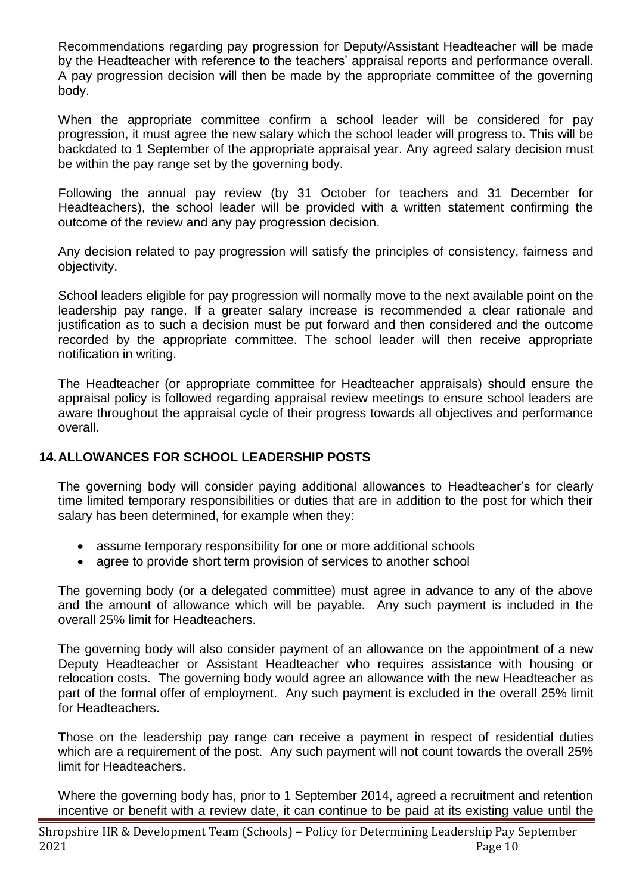Recommendations regarding pay progression for Deputy/Assistant Headteacher will be made by the Headteacher with reference to the teachers' appraisal reports and performance overall. A pay progression decision will then be made by the appropriate committee of the governing body.

When the appropriate committee confirm a school leader will be considered for pay progression, it must agree the new salary which the school leader will progress to. This will be backdated to 1 September of the appropriate appraisal year. Any agreed salary decision must be within the pay range set by the governing body.

Following the annual pay review (by 31 October for teachers and 31 December for Headteachers), the school leader will be provided with a written statement confirming the outcome of the review and any pay progression decision.

Any decision related to pay progression will satisfy the principles of consistency, fairness and objectivity.

School leaders eligible for pay progression will normally move to the next available point on the leadership pay range. If a greater salary increase is recommended a clear rationale and justification as to such a decision must be put forward and then considered and the outcome recorded by the appropriate committee. The school leader will then receive appropriate notification in writing.

The Headteacher (or appropriate committee for Headteacher appraisals) should ensure the appraisal policy is followed regarding appraisal review meetings to ensure school leaders are aware throughout the appraisal cycle of their progress towards all objectives and performance overall.

## **14.ALLOWANCES FOR SCHOOL LEADERSHIP POSTS**

The governing body will consider paying additional allowances to Headteacher's for clearly time limited temporary responsibilities or duties that are in addition to the post for which their salary has been determined, for example when they:

- assume temporary responsibility for one or more additional schools
- agree to provide short term provision of services to another school

The governing body (or a delegated committee) must agree in advance to any of the above and the amount of allowance which will be payable. Any such payment is included in the overall 25% limit for Headteachers.

The governing body will also consider payment of an allowance on the appointment of a new Deputy Headteacher or Assistant Headteacher who requires assistance with housing or relocation costs. The governing body would agree an allowance with the new Headteacher as part of the formal offer of employment. Any such payment is excluded in the overall 25% limit for Headteachers.

Those on the leadership pay range can receive a payment in respect of residential duties which are a requirement of the post. Any such payment will not count towards the overall 25% limit for Headteachers.

Where the governing body has, prior to 1 September 2014, agreed a recruitment and retention incentive or benefit with a review date, it can continue to be paid at its existing value until the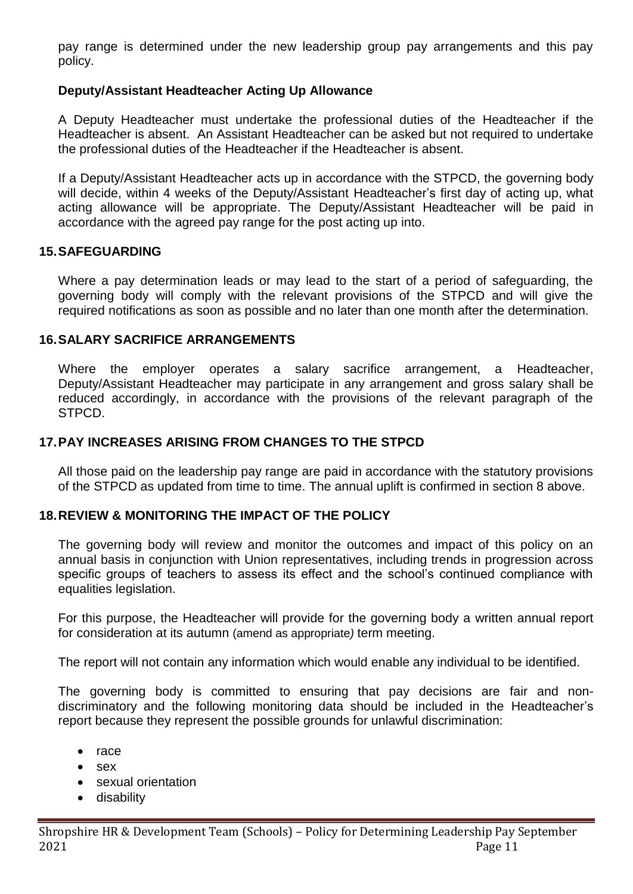pay range is determined under the new leadership group pay arrangements and this pay policy.

## **Deputy/Assistant Headteacher Acting Up Allowance**

A Deputy Headteacher must undertake the professional duties of the Headteacher if the Headteacher is absent. An Assistant Headteacher can be asked but not required to undertake the professional duties of the Headteacher if the Headteacher is absent.

If a Deputy/Assistant Headteacher acts up in accordance with the STPCD, the governing body will decide, within 4 weeks of the Deputy/Assistant Headteacher's first day of acting up, what acting allowance will be appropriate. The Deputy/Assistant Headteacher will be paid in accordance with the agreed pay range for the post acting up into.

#### **15.SAFEGUARDING**

Where a pay determination leads or may lead to the start of a period of safeguarding, the governing body will comply with the relevant provisions of the STPCD and will give the required notifications as soon as possible and no later than one month after the determination.

#### **16.SALARY SACRIFICE ARRANGEMENTS**

Where the employer operates a salary sacrifice arrangement, a Headteacher, Deputy/Assistant Headteacher may participate in any arrangement and gross salary shall be reduced accordingly, in accordance with the provisions of the relevant paragraph of the STPCD.

#### **17.PAY INCREASES ARISING FROM CHANGES TO THE STPCD**

All those paid on the leadership pay range are paid in accordance with the statutory provisions of the STPCD as updated from time to time. The annual uplift is confirmed in section 8 above.

## **18.REVIEW & MONITORING THE IMPACT OF THE POLICY**

The governing body will review and monitor the outcomes and impact of this policy on an annual basis in conjunction with Union representatives, including trends in progression across specific groups of teachers to assess its effect and the school's continued compliance with equalities legislation.

For this purpose, the Headteacher will provide for the governing body a written annual report for consideration at its autumn (amend as appropriate*)* term meeting.

The report will not contain any information which would enable any individual to be identified.

The governing body is committed to ensuring that pay decisions are fair and nondiscriminatory and the following monitoring data should be included in the Headteacher's report because they represent the possible grounds for unlawful discrimination:

- $\bullet$  race
- sex
- sexual orientation
- **•** disability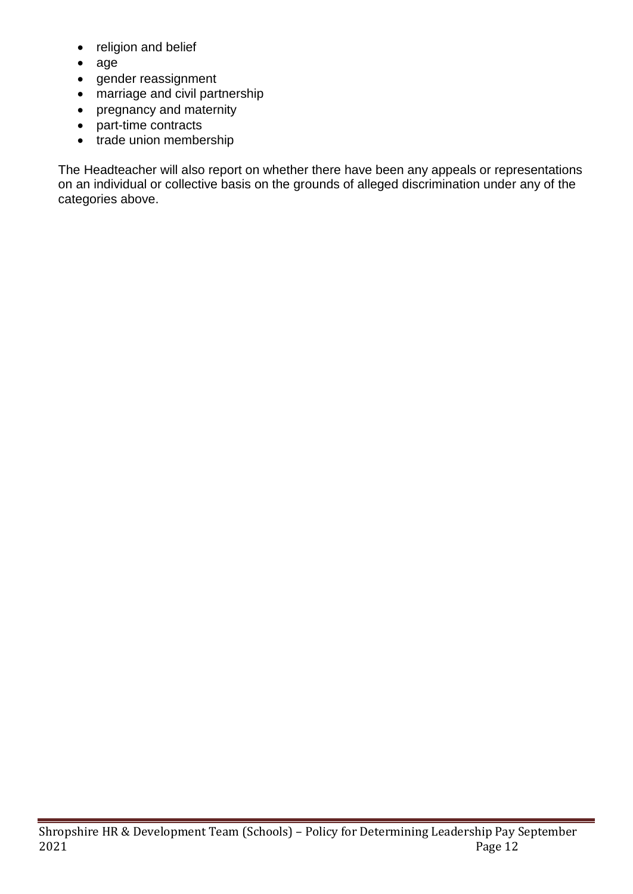- religion and belief
- age
- gender reassignment
- marriage and civil partnership
- pregnancy and maternity
- part-time contracts
- trade union membership

The Headteacher will also report on whether there have been any appeals or representations on an individual or collective basis on the grounds of alleged discrimination under any of the categories above.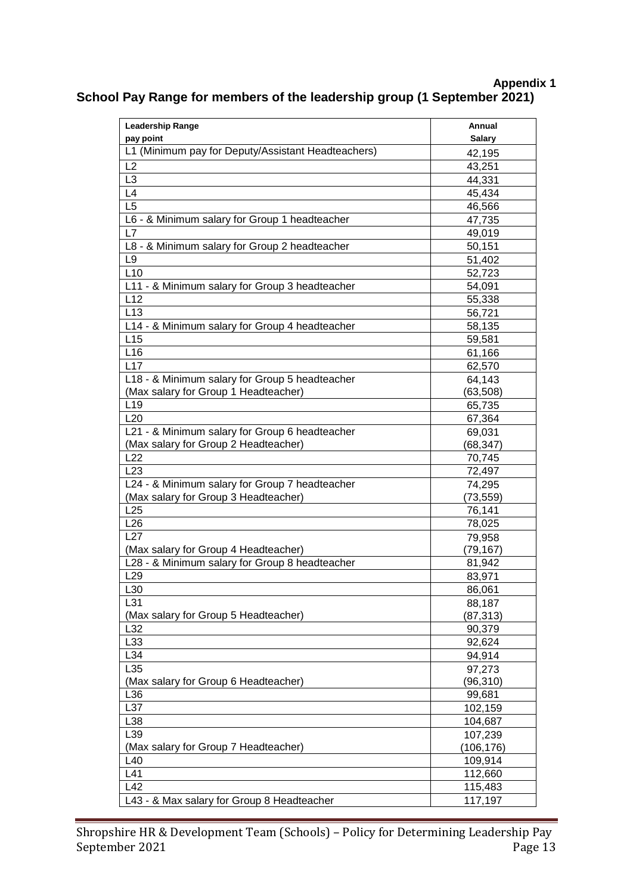## **Appendix 1 School Pay Range for members of the leadership group (1 September 2021)**

| <b>Leadership Range</b>                            | Annual        |
|----------------------------------------------------|---------------|
| pay point                                          | <b>Salary</b> |
| L1 (Minimum pay for Deputy/Assistant Headteachers) | 42,195        |
| L2                                                 | 43,251        |
| L <sub>3</sub>                                     | 44,331        |
| L4                                                 | 45,434        |
| L <sub>5</sub>                                     | 46,566        |
| L6 - & Minimum salary for Group 1 headteacher      | 47,735        |
| L7                                                 | 49,019        |
| L8 - & Minimum salary for Group 2 headteacher      | 50,151        |
| L <sub>9</sub>                                     | 51,402        |
| L10                                                | 52,723        |
| L11 - & Minimum salary for Group 3 headteacher     | 54,091        |
| L12                                                | 55,338        |
| L13                                                | 56,721        |
| L14 - & Minimum salary for Group 4 headteacher     | 58,135        |
| L15                                                | 59,581        |
| L16                                                | 61,166        |
| L17                                                | 62,570        |
| L18 - & Minimum salary for Group 5 headteacher     | 64,143        |
| (Max salary for Group 1 Headteacher)               | (63, 508)     |
| L <sub>19</sub>                                    | 65,735        |
| L20                                                | 67,364        |
| L21 - & Minimum salary for Group 6 headteacher     | 69,031        |
| (Max salary for Group 2 Headteacher)               | (68, 347)     |
| L22                                                | 70,745        |
| L23                                                | 72,497        |
| L24 - & Minimum salary for Group 7 headteacher     | 74,295        |
| (Max salary for Group 3 Headteacher)               | (73, 559)     |
| L25                                                | 76,141        |
| L26                                                | 78,025        |
| L27                                                | 79,958        |
| (Max salary for Group 4 Headteacher)               | (79, 167)     |
| L28 - & Minimum salary for Group 8 headteacher     | 81,942        |
| L <sub>29</sub>                                    | 83,971        |
| L30                                                | 86,061        |
| L31                                                | 88,187        |
| (Max salary for Group 5 Headteacher)               | (87, 313)     |
| L32                                                | 90,379        |
| L33                                                | 92,624        |
| L34                                                | 94,914        |
| L35                                                | 97,273        |
| (Max salary for Group 6 Headteacher)               | (96, 310)     |
| L36                                                | 99,681        |
| L37                                                | 102,159       |
| L38                                                | 104,687       |
| L39                                                | 107,239       |
| (Max salary for Group 7 Headteacher)               | (106,176)     |
| L40                                                | 109,914       |
| L41                                                | 112,660       |
| L42                                                | 115,483       |
| L43 - & Max salary for Group 8 Headteacher         | 117,197       |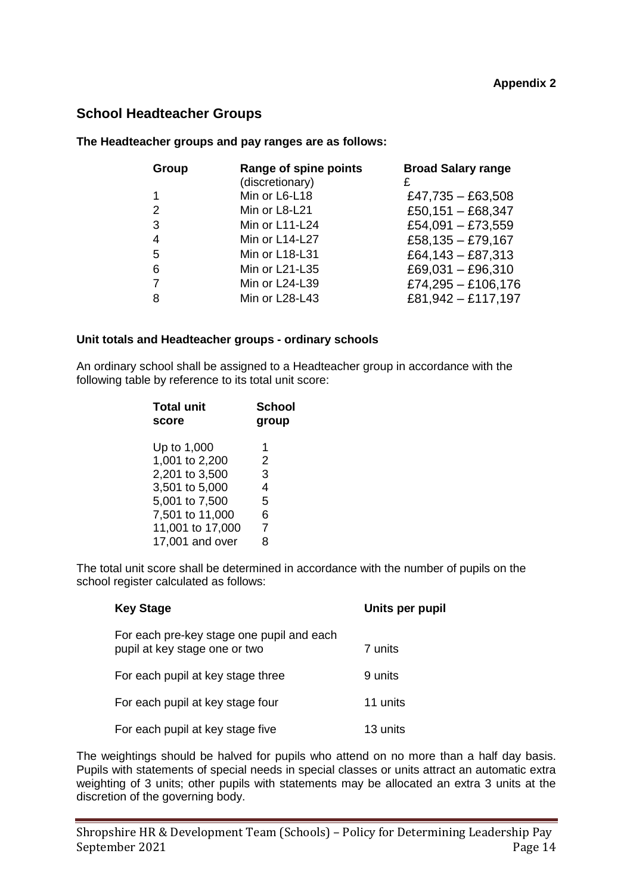#### **School Headteacher Groups**

#### **The Headteacher groups and pay ranges are as follows:**

| Group | Range of spine points<br>(discretionary) | <b>Broad Salary range</b> |
|-------|------------------------------------------|---------------------------|
| 1     | Min or L6-L18                            | £47,735 $-$ £63,508       |
| 2     | Min or L8-L21                            | £50,151 $-$ £68,347       |
| 3     | Min or L11-L24                           | £54,091 - £73,559         |
| 4     | Min or L14-L27                           | £58,135 $-$ £79,167       |
| 5     | Min or L18-L31                           | £64,143 - £87,313         |
| 6     | Min or L21-L35                           | £69,031 $-$ £96,310       |
|       | Min or L24-L39                           | £74,295 $-$ £106,176      |
| 8     | Min or L28-L43                           | £81,942 - £117,197        |

#### **Unit totals and Headteacher groups - ordinary schools**

An ordinary school shall be assigned to a Headteacher group in accordance with the following table by reference to its total unit score:

| <b>Total unit</b><br>score | School<br>group |
|----------------------------|-----------------|
| Up to 1,000                | 1               |
| 1,001 to 2,200             | 2               |
| 2,201 to 3,500             | 3               |
| 3,501 to 5,000             | 4               |
| 5,001 to 7,500             | 5               |
| 7,501 to 11,000            | 6               |
| 11,001 to 17,000           | 7               |
| 17,001 and over            | 8               |

The total unit score shall be determined in accordance with the number of pupils on the school register calculated as follows:

| <b>Key Stage</b>                                                           | Units per pupil |
|----------------------------------------------------------------------------|-----------------|
| For each pre-key stage one pupil and each<br>pupil at key stage one or two | 7 units         |
| For each pupil at key stage three                                          | 9 units         |
| For each pupil at key stage four                                           | 11 units        |
| For each pupil at key stage five                                           | 13 units        |

The weightings should be halved for pupils who attend on no more than a half day basis. Pupils with statements of special needs in special classes or units attract an automatic extra weighting of 3 units; other pupils with statements may be allocated an extra 3 units at the discretion of the governing body.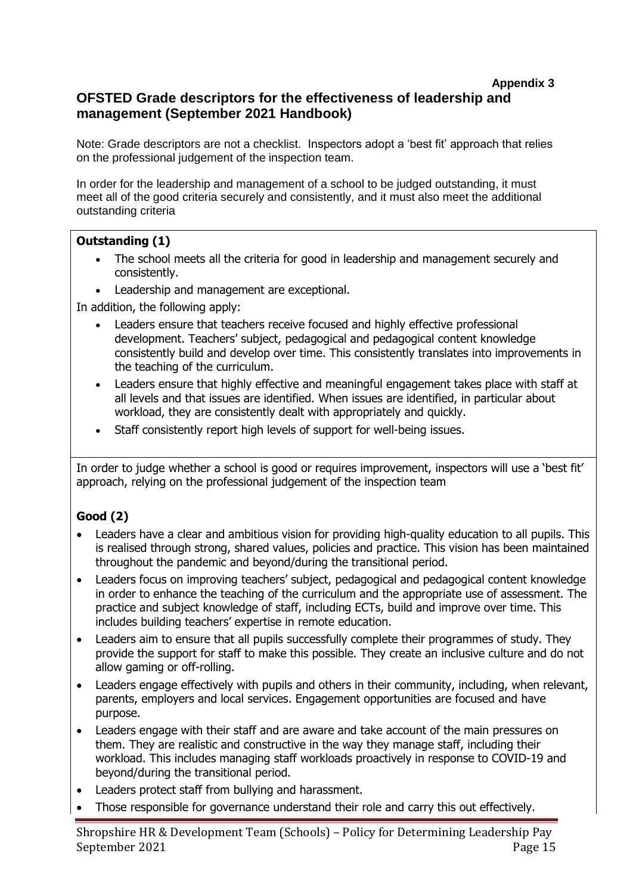#### **Appendix 3 OFSTED Grade descriptors for the effectiveness of leadership and management (September 2021 Handbook)**

Note: Grade descriptors are not a checklist. Inspectors adopt a 'best fit' approach that relies on the professional judgement of the inspection team.

In order for the leadership and management of a school to be judged outstanding, it must meet all of the good criteria securely and consistently, and it must also meet the additional outstanding criteria

#### **Outstanding (1)**

- The school meets all the criteria for good in leadership and management securely and consistently.
- Leadership and management are exceptional.

In addition, the following apply:

- Leaders ensure that teachers receive focused and highly effective professional development. Teachers' subject, pedagogical and pedagogical content knowledge consistently build and develop over time. This consistently translates into improvements in the teaching of the curriculum.
- Leaders ensure that highly effective and meaningful engagement takes place with staff at all levels and that issues are identified. When issues are identified, in particular about workload, they are consistently dealt with appropriately and quickly.
- Staff consistently report high levels of support for well-being issues.

In order to judge whether a school is good or requires improvement, inspectors will use a 'best fit' approach, relying on the professional judgement of the inspection team

## **Good (2)**

- Leaders have a clear and ambitious vision for providing high-quality education to all pupils. This is realised through strong, shared values, policies and practice. This vision has been maintained throughout the pandemic and beyond/during the transitional period.
- Leaders focus on improving teachers' subject, pedagogical and pedagogical content knowledge in order to enhance the teaching of the curriculum and the appropriate use of assessment. The practice and subject knowledge of staff, including ECTs, build and improve over time. This includes building teachers' expertise in remote education.
- Leaders aim to ensure that all pupils successfully complete their programmes of study. They provide the support for staff to make this possible. They create an inclusive culture and do not allow gaming or off-rolling.
- Leaders engage effectively with pupils and others in their community, including, when relevant, parents, employers and local services. Engagement opportunities are focused and have purpose.
- Leaders engage with their staff and are aware and take account of the main pressures on them. They are realistic and constructive in the way they manage staff, including their workload. This includes managing staff workloads proactively in response to COVID-19 and beyond/during the transitional period.
- Leaders protect staff from bullying and harassment.
- Those responsible for governance understand their role and carry this out effectively.